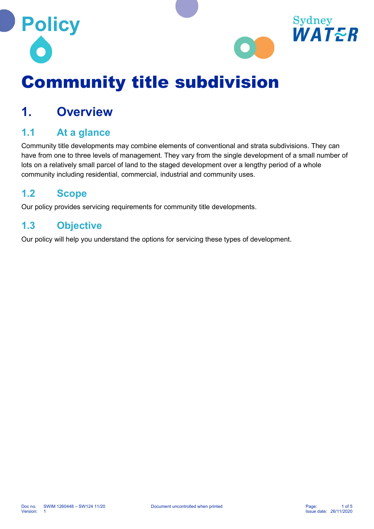



# Community title subdivision

### 1. Overview

#### 1.1 At a glance

Community title developments may combine elements of conventional and strata subdivisions. They can have from one to three levels of management. They vary from the single development of a small number of lots on a relatively small parcel of land to the staged development over a lengthy period of a whole community including residential, commercial, industrial and community uses.

#### 1.2 Scope

Our policy provides servicing requirements for community title developments.

#### 1.3 Objective

Our policy will help you understand the options for servicing these types of development.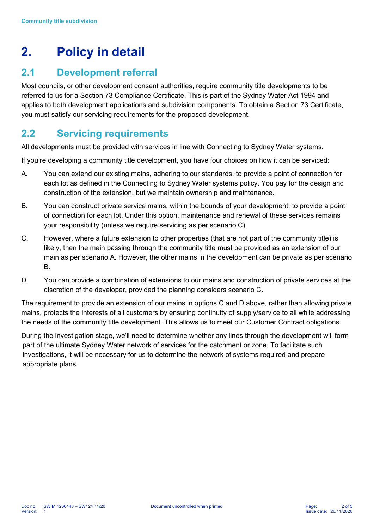## 2. Policy in detail

#### 2.1 Development referral

Most councils, or other development consent authorities, require community title developments to be referred to us for a Section 73 Compliance Certificate. This is part of the Sydney Water Act 1994 and applies to both development applications and subdivision components. To obtain a Section 73 Certificate, you must satisfy our servicing requirements for the proposed development.

#### 2.2 Servicing requirements

All developments must be provided with services in line with Connecting to Sydney Water systems.

If you're developing a community title development, you have four choices on how it can be serviced:

- A. You can extend our existing mains, adhering to our standards, to provide a point of connection for each lot as defined in the Connecting to Sydney Water systems policy. You pay for the design and construction of the extension, but we maintain ownership and maintenance.
- B. You can construct private service mains, within the bounds of your development, to provide a point of connection for each lot. Under this option, maintenance and renewal of these services remains your responsibility (unless we require servicing as per scenario C).
- C. However, where a future extension to other properties (that are not part of the community title) is likely, then the main passing through the community title must be provided as an extension of our main as per scenario A. However, the other mains in the development can be private as per scenario B.
- D. You can provide a combination of extensions to our mains and construction of private services at the discretion of the developer, provided the planning considers scenario C.

The requirement to provide an extension of our mains in options C and D above, rather than allowing private mains, protects the interests of all customers by ensuring continuity of supply/service to all while addressing the needs of the community title development. This allows us to meet our Customer Contract obligations.

During the investigation stage, we'll need to determine whether any lines through the development will form part of the ultimate Sydney Water network of services for the catchment or zone. To facilitate such investigations, it will be necessary for us to determine the network of systems required and prepare appropriate plans.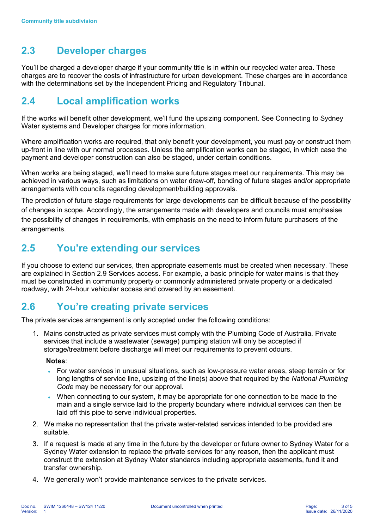#### 2.3 Developer charges

You'll be charged a developer charge if your community title is in within our recycled water area. These charges are to recover the costs of infrastructure for urban development. These charges are in accordance with the determinations set by the Independent Pricing and Regulatory Tribunal.

#### 2.4 Local amplification works

If the works will benefit other development, we'll fund the upsizing component. See Connecting to Sydney Water systems and Developer charges for more information.

Where amplification works are required, that only benefit your development, you must pay or construct them up-front in line with our normal processes. Unless the amplification works can be staged, in which case the payment and developer construction can also be staged, under certain conditions.

When works are being staged, we'll need to make sure future stages meet our requirements. This may be achieved in various ways, such as limitations on water draw-off, bonding of future stages and/or appropriate arrangements with councils regarding development/building approvals.

The prediction of future stage requirements for large developments can be difficult because of the possibility of changes in scope. Accordingly, the arrangements made with developers and councils must emphasise the possibility of changes in requirements, with emphasis on the need to inform future purchasers of the arrangements.

#### 2.5 You're extending our services

If you choose to extend our services, then appropriate easements must be created when necessary. These are explained in Section 2.9 Services access. For example, a basic principle for water mains is that they must be constructed in community property or commonly administered private property or a dedicated roadway, with 24-hour vehicular access and covered by an easement.

#### 2.6 You're creating private services

The private services arrangement is only accepted under the following conditions:

1. Mains constructed as private services must comply with the Plumbing Code of Australia. Private services that include a wastewater (sewage) pumping station will only be accepted if storage/treatment before discharge will meet our requirements to prevent odours.

#### Notes:

- For water services in unusual situations, such as low-pressure water areas, steep terrain or for long lengths of service line, upsizing of the line(s) above that required by the National Plumbing Code may be necessary for our approval.
- When connecting to our system, it may be appropriate for one connection to be made to the main and a single service laid to the property boundary where individual services can then be laid off this pipe to serve individual properties.
- 2. We make no representation that the private water-related services intended to be provided are suitable.
- 3. If a request is made at any time in the future by the developer or future owner to Sydney Water for a Sydney Water extension to replace the private services for any reason, then the applicant must construct the extension at Sydney Water standards including appropriate easements, fund it and transfer ownership.
- 4. We generally won't provide maintenance services to the private services.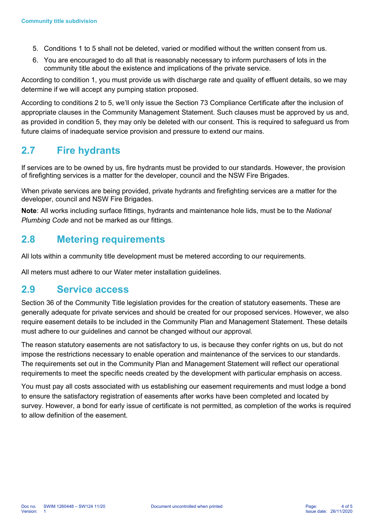- 5. Conditions 1 to 5 shall not be deleted, varied or modified without the written consent from us.
- 6. You are encouraged to do all that is reasonably necessary to inform purchasers of lots in the community title about the existence and implications of the private service.

According to condition 1, you must provide us with discharge rate and quality of effluent details, so we may determine if we will accept any pumping station proposed.

According to conditions 2 to 5, we'll only issue the Section 73 Compliance Certificate after the inclusion of appropriate clauses in the Community Management Statement. Such clauses must be approved by us and, as provided in condition 5, they may only be deleted with our consent. This is required to safeguard us from future claims of inadequate service provision and pressure to extend our mains.

#### 2.7 Fire hydrants

If services are to be owned by us, fire hydrants must be provided to our standards. However, the provision of firefighting services is a matter for the developer, council and the NSW Fire Brigades.

When private services are being provided, private hydrants and firefighting services are a matter for the developer, council and NSW Fire Brigades.

Note: All works including surface fittings, hydrants and maintenance hole lids, must be to the National Plumbing Code and not be marked as our fittings.

#### 2.8 Metering requirements

All lots within a community title development must be metered according to our requirements.

All meters must adhere to our Water meter installation guidelines.

#### 2.9 Service access

Section 36 of the Community Title legislation provides for the creation of statutory easements. These are generally adequate for private services and should be created for our proposed services. However, we also require easement details to be included in the Community Plan and Management Statement. These details must adhere to our guidelines and cannot be changed without our approval.

The reason statutory easements are not satisfactory to us, is because they confer rights on us, but do not impose the restrictions necessary to enable operation and maintenance of the services to our standards. The requirements set out in the Community Plan and Management Statement will reflect our operational requirements to meet the specific needs created by the development with particular emphasis on access.

You must pay all costs associated with us establishing our easement requirements and must lodge a bond to ensure the satisfactory registration of easements after works have been completed and located by survey. However, a bond for early issue of certificate is not permitted, as completion of the works is required to allow definition of the easement.